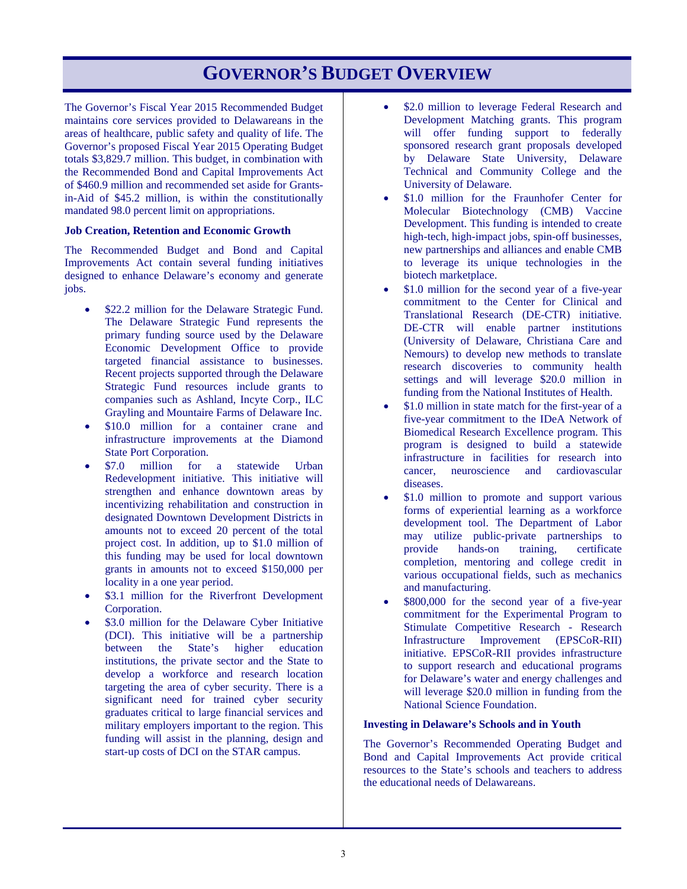# **GOVERNOR'S BUDGET OVERVIEW**

The Governor's Fiscal Year 2015 Recommended Budget maintains core services provided to Delawareans in the areas of healthcare, public safety and quality of life. The Governor's proposed Fiscal Year 2015 Operating Budget totals \$3,829.7 million. This budget, in combination with the Recommended Bond and Capital Improvements Act of \$460.9 million and recommended set aside for Grantsin-Aid of \$45.2 million, is within the constitutionally mandated 98.0 percent limit on appropriations.

#### **Job Creation, Retention and Economic Growth**

The Recommended Budget and Bond and Capital Improvements Act contain several funding initiatives designed to enhance Delaware's economy and generate jobs.

- \$22.2 million for the Delaware Strategic Fund. The Delaware Strategic Fund represents the primary funding source used by the Delaware Economic Development Office to provide targeted financial assistance to businesses. Recent projects supported through the Delaware Strategic Fund resources include grants to companies such as Ashland, Incyte Corp., ILC Grayling and Mountaire Farms of Delaware Inc.
- \$10.0 million for a container crane and infrastructure improvements at the Diamond State Port Corporation.
- \$7.0 million for a statewide Urban Redevelopment initiative. This initiative will strengthen and enhance downtown areas by incentivizing rehabilitation and construction in designated Downtown Development Districts in amounts not to exceed 20 percent of the total project cost. In addition, up to \$1.0 million of this funding may be used for local downtown grants in amounts not to exceed \$150,000 per locality in a one year period.
- \$3.1 million for the Riverfront Development Corporation.
- \$3.0 million for the Delaware Cyber Initiative (DCI). This initiative will be a partnership between the State's higher education institutions, the private sector and the State to develop a workforce and research location targeting the area of cyber security. There is a significant need for trained cyber security graduates critical to large financial services and military employers important to the region. This funding will assist in the planning, design and start-up costs of DCI on the STAR campus.
- \$2.0 million to leverage Federal Research and Development Matching grants. This program will offer funding support to federally sponsored research grant proposals developed by Delaware State University, Delaware Technical and Community College and the University of Delaware.
- \$1.0 million for the Fraunhofer Center for Molecular Biotechnology (CMB) Vaccine Development. This funding is intended to create high-tech, high-impact jobs, spin-off businesses, new partnerships and alliances and enable CMB to leverage its unique technologies in the biotech marketplace.
- \$1.0 million for the second year of a five-year commitment to the Center for Clinical and Translational Research (DE-CTR) initiative. DE-CTR will enable partner institutions (University of Delaware, Christiana Care and Nemours) to develop new methods to translate research discoveries to community health settings and will leverage \$20.0 million in funding from the National Institutes of Health.
- \$1.0 million in state match for the first-year of a five-year commitment to the IDeA Network of Biomedical Research Excellence program. This program is designed to build a statewide infrastructure in facilities for research into cancer, neuroscience and cardiovascular diseases.
- \$1.0 million to promote and support various forms of experiential learning as a workforce development tool. The Department of Labor may utilize public-private partnerships to provide hands-on training, certificate completion, mentoring and college credit in various occupational fields, such as mechanics and manufacturing.
- \$800,000 for the second year of a five-year commitment for the Experimental Program to Stimulate Competitive Research - Research Infrastructure Improvement (EPSCoR-RII) initiative. EPSCoR-RII provides infrastructure to support research and educational programs for Delaware's water and energy challenges and will leverage \$20.0 million in funding from the National Science Foundation.

### **Investing in Delaware's Schools and in Youth**

The Governor's Recommended Operating Budget and Bond and Capital Improvements Act provide critical resources to the State's schools and teachers to address the educational needs of Delawareans.